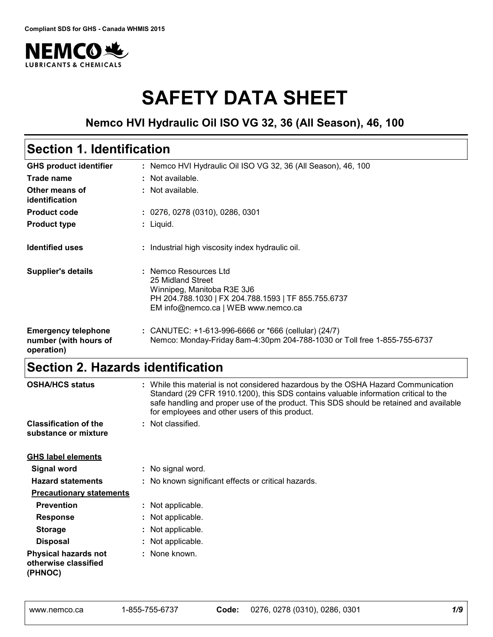

# **SAFETY DATA SHEET**

### **Nemco HVI Hydraulic Oil ISO VG 32, 36 (All Season), 46, 100**

# **Section 1. Identification**

| <b>GHS product identifier</b>                                     | : Nemco HVI Hydraulic Oil ISO VG 32, 36 (All Season), 46, 100                                                                                                          |
|-------------------------------------------------------------------|------------------------------------------------------------------------------------------------------------------------------------------------------------------------|
| Trade name                                                        | : Not available.                                                                                                                                                       |
| Other means of<br>identification                                  | : Not available.                                                                                                                                                       |
| <b>Product code</b>                                               | : 0276, 0278 (0310), 0286, 0301                                                                                                                                        |
| <b>Product type</b>                                               | $:$ Liquid.                                                                                                                                                            |
| <b>Identified uses</b>                                            | : Industrial high viscosity index hydraulic oil.                                                                                                                       |
| <b>Supplier's details</b>                                         | : Nemco Resources Ltd<br>25 Midland Street<br>Winnipeg, Manitoba R3E 3J6<br>PH 204.788.1030   FX 204.788.1593   TF 855.755.6737<br>EM info@nemco.ca   WEB www.nemco.ca |
| <b>Emergency telephone</b><br>number (with hours of<br>operation) | : CANUTEC: +1-613-996-6666 or *666 (cellular) (24/7)<br>Nemco: Monday-Friday 8am-4:30pm 204-788-1030 or Toll free 1-855-755-6737                                       |

# **Section 2. Hazards identification**

| <b>OSHA/HCS status</b>                                         | : While this material is not considered hazardous by the OSHA Hazard Communication<br>Standard (29 CFR 1910.1200), this SDS contains valuable information critical to the<br>safe handling and proper use of the product. This SDS should be retained and available<br>for employees and other users of this product. |
|----------------------------------------------------------------|-----------------------------------------------------------------------------------------------------------------------------------------------------------------------------------------------------------------------------------------------------------------------------------------------------------------------|
| <b>Classification of the</b><br>substance or mixture           | : Not classified.                                                                                                                                                                                                                                                                                                     |
| <b>GHS label elements</b>                                      |                                                                                                                                                                                                                                                                                                                       |
| <b>Signal word</b>                                             | : No signal word.                                                                                                                                                                                                                                                                                                     |
| <b>Hazard statements</b>                                       | : No known significant effects or critical hazards.                                                                                                                                                                                                                                                                   |
| <b>Precautionary statements</b>                                |                                                                                                                                                                                                                                                                                                                       |
| <b>Prevention</b>                                              | : Not applicable.                                                                                                                                                                                                                                                                                                     |
| <b>Response</b>                                                | : Not applicable.                                                                                                                                                                                                                                                                                                     |
| <b>Storage</b>                                                 | : Not applicable.                                                                                                                                                                                                                                                                                                     |
| <b>Disposal</b>                                                | : Not applicable.                                                                                                                                                                                                                                                                                                     |
| <b>Physical hazards not</b><br>otherwise classified<br>(PHNOC) | : None known.                                                                                                                                                                                                                                                                                                         |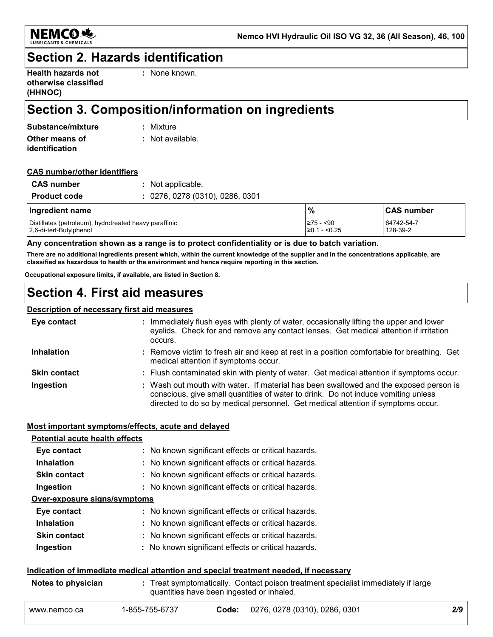

### **Section 2. Hazards identification**

| <b>Health hazards not</b> |  |
|---------------------------|--|
| otherwise classified      |  |
| (HHNOC)                   |  |

**:** None known.

# **Section 3. Composition/information on ingredients**

| Substance/mixture | : Mixture                   |
|-------------------|-----------------------------|
| Other means of    | $\therefore$ Not available. |
| identification    |                             |

#### **CAS number/other identifiers**

| : 0276, 0278 (0310), 0286, 0301<br><b>Product code</b> |  |
|--------------------------------------------------------|--|

| Ingredient name                                        | $\frac{9}{6}$      | <b>CAS number</b> |
|--------------------------------------------------------|--------------------|-------------------|
| Distillates (petroleum), hydrotreated heavy paraffinic | l≥75 - <90         | 64742-54-7        |
| 2,6-di-tert-Butylphenol                                | ∣ - <0.25<br>⊺≥0.1 | 128-39-2          |

#### **Any concentration shown as a range is to protect confidentiality or is due to batch variation.**

**There are no additional ingredients present which, within the current knowledge of the supplier and in the concentrations applicable, are classified as hazardous to health or the environment and hence require reporting in this section.**

**Occupational exposure limits, if available, are listed in Section 8.**

### **Section 4. First aid measures**

#### **Description of necessary first aid measures**

| Eye contact         | : Immediately flush eyes with plenty of water, occasionally lifting the upper and lower<br>eyelids. Check for and remove any contact lenses. Get medical attention if irritation<br>occurs.                                                                    |
|---------------------|----------------------------------------------------------------------------------------------------------------------------------------------------------------------------------------------------------------------------------------------------------------|
| <b>Inhalation</b>   | : Remove victim to fresh air and keep at rest in a position comfortable for breathing. Get<br>medical attention if symptoms occur.                                                                                                                             |
| <b>Skin contact</b> | : Flush contaminated skin with plenty of water. Get medical attention if symptoms occur.                                                                                                                                                                       |
| Ingestion           | : Wash out mouth with water. If material has been swallowed and the exposed person is<br>conscious, give small quantities of water to drink. Do not induce vomiting unless<br>directed to do so by medical personnel. Get medical attention if symptoms occur. |

#### **Most important symptoms/effects, acute and delayed**

| <b>Potential acute health effects</b> |                                                     |
|---------------------------------------|-----------------------------------------------------|
| Eye contact                           | : No known significant effects or critical hazards. |
| <b>Inhalation</b>                     | : No known significant effects or critical hazards. |
| <b>Skin contact</b>                   | : No known significant effects or critical hazards. |
| Ingestion                             | : No known significant effects or critical hazards. |
| Over-exposure signs/symptoms          |                                                     |
| Eye contact                           | : No known significant effects or critical hazards. |
| <b>Inhalation</b>                     | : No known significant effects or critical hazards. |
| <b>Skin contact</b>                   | : No known significant effects or critical hazards. |
| Ingestion                             | : No known significant effects or critical hazards. |
|                                       |                                                     |

#### **Indication of immediate medical attention and special treatment needed, if necessary**

| Notes to physician | : Treat symptomatically. Contact poison treatment specialist immediately if large<br>quantities have been ingested or inhaled. |
|--------------------|--------------------------------------------------------------------------------------------------------------------------------|
|                    |                                                                                                                                |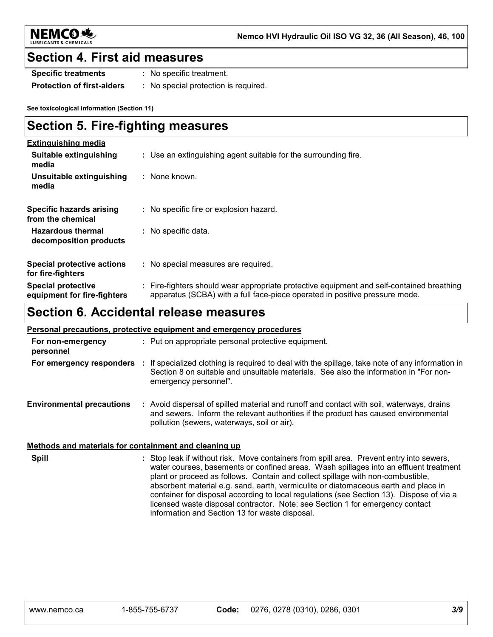

### **Section 4. First aid measures**

**Specific treatments :** No specific treatment.

**Protection of first-aiders :** No special protection is required.

**See toxicological information (Section 11)**

### **Section 5. Fire-fighting measures**

| <b>Extinguishing media</b>                               |                                                                                                                                                                          |
|----------------------------------------------------------|--------------------------------------------------------------------------------------------------------------------------------------------------------------------------|
| Suitable extinguishing<br>media                          | : Use an extinguishing agent suitable for the surrounding fire.                                                                                                          |
| Unsuitable extinguishing<br>media                        | : None known.                                                                                                                                                            |
| Specific hazards arising<br>from the chemical            | : No specific fire or explosion hazard.                                                                                                                                  |
| <b>Hazardous thermal</b><br>decomposition products       | : No specific data.                                                                                                                                                      |
| <b>Special protective actions</b><br>for fire-fighters   | : No special measures are required.                                                                                                                                      |
| <b>Special protective</b><br>equipment for fire-fighters | : Fire-fighters should wear appropriate protective equipment and self-contained breathing<br>apparatus (SCBA) with a full face-piece operated in positive pressure mode. |

# **Section 6. Accidental release measures**

| <b>Personal precautions, protective equipment and emergency procedures</b> |                                                                                                                                                                                                                                 |  |
|----------------------------------------------------------------------------|---------------------------------------------------------------------------------------------------------------------------------------------------------------------------------------------------------------------------------|--|
| For non-emergency<br>personnel                                             | : Put on appropriate personal protective equipment.                                                                                                                                                                             |  |
| For emergency responders                                                   | : If specialized clothing is required to deal with the spillage, take note of any information in<br>Section 8 on suitable and unsuitable materials. See also the information in "For non-<br>emergency personnel".              |  |
| <b>Environmental precautions</b>                                           | : Avoid dispersal of spilled material and runoff and contact with soil, waterways, drains<br>and sewers. Inform the relevant authorities if the product has caused environmental<br>pollution (sewers, waterways, soil or air). |  |

#### **Methods and materials for containment and cleaning up**

**Spill** Stop leak if without risk. Move containers from spill area. Prevent entry into sewers, **:** water courses, basements or confined areas. Wash spillages into an effluent treatment plant or proceed as follows. Contain and collect spillage with non-combustible, absorbent material e.g. sand, earth, vermiculite or diatomaceous earth and place in container for disposal according to local regulations (see Section 13). Dispose of via a licensed waste disposal contractor. Note: see Section 1 for emergency contact information and Section 13 for waste disposal.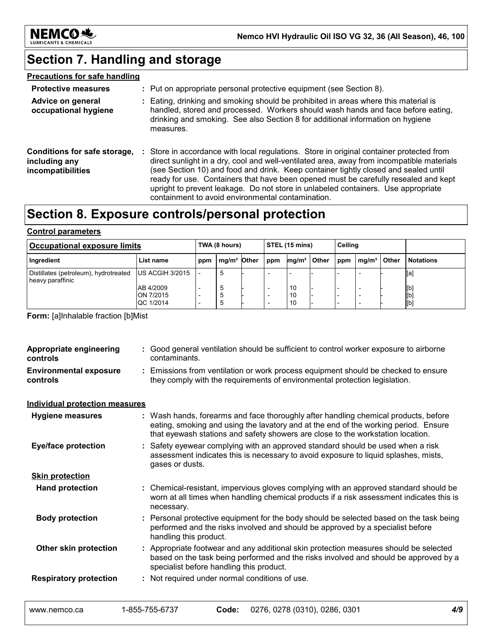

# **Section 7. Handling and storage**

#### **Precautions for safe handling**

| <b>Protective measures</b>                                                | : Put on appropriate personal protective equipment (see Section 8).                                                                                                                                                                                                                                                                                                                                                                                                                                         |
|---------------------------------------------------------------------------|-------------------------------------------------------------------------------------------------------------------------------------------------------------------------------------------------------------------------------------------------------------------------------------------------------------------------------------------------------------------------------------------------------------------------------------------------------------------------------------------------------------|
| Advice on general<br>occupational hygiene                                 | Eating, drinking and smoking should be prohibited in areas where this material is<br>handled, stored and processed. Workers should wash hands and face before eating,<br>drinking and smoking. See also Section 8 for additional information on hygiene<br>measures.                                                                                                                                                                                                                                        |
| Conditions for safe storage,<br>including any<br><i>incompatibilities</i> | Store in accordance with local regulations. Store in original container protected from<br>direct sunlight in a dry, cool and well-ventilated area, away from incompatible materials<br>(see Section 10) and food and drink. Keep container tightly closed and sealed until<br>ready for use. Containers that have been opened must be carefully resealed and kept<br>upright to prevent leakage. Do not store in unlabeled containers. Use appropriate<br>containment to avoid environmental contamination. |

# **Section 8. Exposure controls/personal protection**

#### **Control parameters**

| <b>Occupational exposure limits</b>                       |                                     | STEL (15 mins)<br>TWA (8 hours) |               | Ceiling |                   |       |     |                   |       |                   |
|-----------------------------------------------------------|-------------------------------------|---------------------------------|---------------|---------|-------------------|-------|-----|-------------------|-------|-------------------|
| Ingredient                                                | List name                           | ppm                             | $mq/m3$ Other | ppm     | mq/m <sup>3</sup> | Other | ppm | mq/m <sup>3</sup> | Other | <b>Notations</b>  |
| Distillates (petroleum), hydrotreated<br>heavy paraffinic | US ACGIH 3/2015                     |                                 | -5            |         |                   |       |     |                   |       | [a]               |
|                                                           | AB 4/2009<br>ON 7/2015<br>QC 1/2014 | $\overline{\phantom{0}}$        | ්<br>ີ<br>්ට  |         | 10<br>10<br>10    |       |     |                   |       | [b]<br>[b]<br>[b] |

**Form:** [a]Inhalable fraction [b]Mist

| <b>Appropriate engineering</b><br>controls | : Good general ventilation should be sufficient to control worker exposure to airborne<br>contaminants.                                                          |                                                                                                                                                                                                                                                               |  |  |  |
|--------------------------------------------|------------------------------------------------------------------------------------------------------------------------------------------------------------------|---------------------------------------------------------------------------------------------------------------------------------------------------------------------------------------------------------------------------------------------------------------|--|--|--|
| <b>Environmental exposure</b><br>controls  | : Emissions from ventilation or work process equipment should be checked to ensure<br>they comply with the requirements of environmental protection legislation. |                                                                                                                                                                                                                                                               |  |  |  |
| <b>Individual protection measures</b>      |                                                                                                                                                                  |                                                                                                                                                                                                                                                               |  |  |  |
| <b>Hygiene measures</b>                    |                                                                                                                                                                  | : Wash hands, forearms and face thoroughly after handling chemical products, before<br>eating, smoking and using the lavatory and at the end of the working period. Ensure<br>that eyewash stations and safety showers are close to the workstation location. |  |  |  |
| <b>Eye/face protection</b>                 |                                                                                                                                                                  | : Safety eyewear complying with an approved standard should be used when a risk<br>assessment indicates this is necessary to avoid exposure to liquid splashes, mists,<br>gases or dusts.                                                                     |  |  |  |
| <b>Skin protection</b>                     |                                                                                                                                                                  |                                                                                                                                                                                                                                                               |  |  |  |
| <b>Hand protection</b>                     |                                                                                                                                                                  | : Chemical-resistant, impervious gloves complying with an approved standard should be<br>worn at all times when handling chemical products if a risk assessment indicates this is<br>necessary.                                                               |  |  |  |
| <b>Body protection</b>                     |                                                                                                                                                                  | : Personal protective equipment for the body should be selected based on the task being<br>performed and the risks involved and should be approved by a specialist before<br>handling this product.                                                           |  |  |  |
| Other skin protection                      |                                                                                                                                                                  | : Appropriate footwear and any additional skin protection measures should be selected<br>based on the task being performed and the risks involved and should be approved by a<br>specialist before handling this product.                                     |  |  |  |
| <b>Respiratory protection</b>              |                                                                                                                                                                  | : Not required under normal conditions of use.                                                                                                                                                                                                                |  |  |  |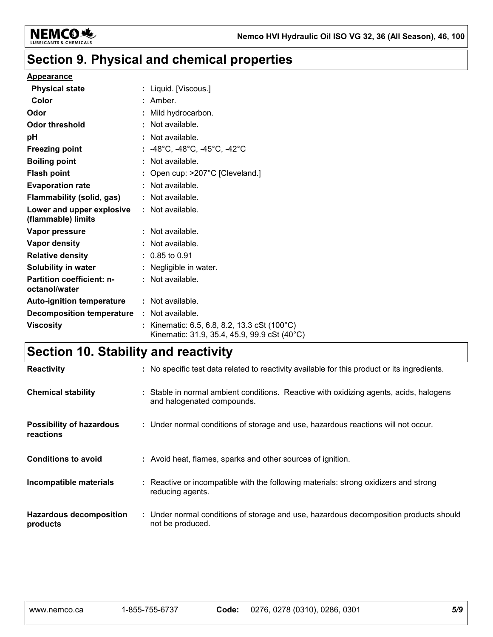

# **Section 9. Physical and chemical properties**

#### **Appearance**

| <b>Physical state</b>                             | : Liquid. [Viscous.]                                                                                    |
|---------------------------------------------------|---------------------------------------------------------------------------------------------------------|
| Color                                             | : Amber.                                                                                                |
| Odor                                              | : Mild hydrocarbon.                                                                                     |
| Odor threshold                                    | : Not available.                                                                                        |
| pH                                                | : Not available.                                                                                        |
| <b>Freezing point</b>                             | : $-48^{\circ}$ C, $-48^{\circ}$ C, $-45^{\circ}$ C, $-42^{\circ}$ C                                    |
| <b>Boiling point</b>                              | $:$ Not available.                                                                                      |
| <b>Flash point</b>                                | : Open cup: $>207^{\circ}$ C [Cleveland.]                                                               |
| <b>Evaporation rate</b>                           | : Not available.                                                                                        |
| Flammability (solid, gas)                         | : Not available.                                                                                        |
| Lower and upper explosive<br>(flammable) limits   | : Not available.                                                                                        |
| Vapor pressure                                    | : Not available.                                                                                        |
| Vapor density                                     | : Not available.                                                                                        |
| <b>Relative density</b>                           | $: 0.85$ to 0.91                                                                                        |
| <b>Solubility in water</b>                        | : Negligible in water.                                                                                  |
| <b>Partition coefficient: n-</b><br>octanol/water | : Not available.                                                                                        |
| <b>Auto-ignition temperature</b>                  | : Not available.                                                                                        |
| <b>Decomposition temperature</b>                  | : Not available.                                                                                        |
| <b>Viscosity</b>                                  | : Kinematic: 6.5, 6.8, 8.2, 13.3 cSt (100 $^{\circ}$ C)<br>Kinematic: 31.9, 35.4, 45.9, 99.9 cSt (40°C) |

# **Section 10. Stability and reactivity**

| <b>Reactivity</b>                            | : No specific test data related to reactivity available for this product or its ingredients.                         |
|----------------------------------------------|----------------------------------------------------------------------------------------------------------------------|
| <b>Chemical stability</b>                    | : Stable in normal ambient conditions. Reactive with oxidizing agents, acids, halogens<br>and halogenated compounds. |
| <b>Possibility of hazardous</b><br>reactions | : Under normal conditions of storage and use, hazardous reactions will not occur.                                    |
| <b>Conditions to avoid</b>                   | : Avoid heat, flames, sparks and other sources of ignition.                                                          |
| Incompatible materials                       | : Reactive or incompatible with the following materials: strong oxidizers and strong<br>reducing agents.             |
| <b>Hazardous decomposition</b><br>products   | : Under normal conditions of storage and use, hazardous decomposition products should<br>not be produced.            |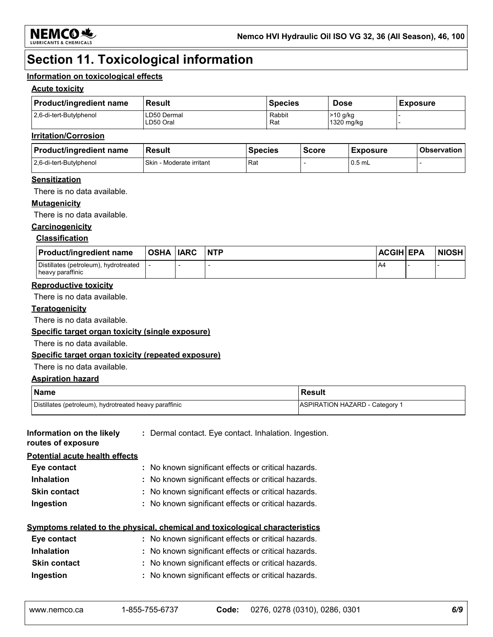

# **Section 11. Toxicological information**

#### **Information on toxicological effects**

#### **Acute toxicity**

| <b>Product/ingredient name</b> | Result                   | <b>Species</b> | <b>Dose</b>              | <b>Exposure</b> |
|--------------------------------|--------------------------|----------------|--------------------------|-----------------|
| 2,6-di-tert-Butylphenol        | ∟D50 Dermal<br>∟D50 Oral | Rabbit<br>Rat  | $>10$ g/kg<br>1320 mg/kg |                 |

#### **Irritation/Corrosion**

| <b>Product/ingredient name</b> | <b>Result</b>                   | <b>Species</b> | <b>Score</b> | <b>Exposure</b> | <b>Observation</b> |
|--------------------------------|---------------------------------|----------------|--------------|-----------------|--------------------|
| 2.6-di-tert-Butylphenol        | <b>Skin - Moderate irritant</b> | Rat            |              | $0.5$ mL        |                    |

#### **Sensitization**

There is no data available.

#### **Mutagenicity**

There is no data available.

#### **Carcinogenicity**

#### **Classification**

| <b>Product/ingredient name</b>                            | OSHA  IARC | <b>NTP</b> | <b>ACGIH EPA</b> | <b>NIOSH</b> |
|-----------------------------------------------------------|------------|------------|------------------|--------------|
| Distillates (petroleum), hydrotreated<br>heavy paraffinic |            |            | $A^2$            |              |

#### **Reproductive toxicity**

There is no data available.

#### **Teratogenicity**

There is no data available.

#### **Specific target organ toxicity (single exposure)**

There is no data available.

#### **Specific target organ toxicity (repeated exposure)**

There is no data available.

#### **Aspiration hazard**

| <b>Name</b>                                            | <b>Result</b>                  |
|--------------------------------------------------------|--------------------------------|
| Distillates (petroleum), hydrotreated heavy paraffinic | ASPIRATION HAZARD - Category 1 |

| Information on the likely<br>routes of exposure | : Dermal contact. Eye contact. Inhalation. Ingestion.                               |
|-------------------------------------------------|-------------------------------------------------------------------------------------|
| <b>Potential acute health effects</b>           |                                                                                     |
| Eye contact                                     | : No known significant effects or critical hazards.                                 |
| <b>Inhalation</b>                               | : No known significant effects or critical hazards.                                 |
| <b>Skin contact</b>                             | : No known significant effects or critical hazards.                                 |
| Ingestion                                       | : No known significant effects or critical hazards.                                 |
|                                                 | <u>Symptoms related to the physical, chemical and toxicological characteristics</u> |

| Eye contact         | : No known significant effects or critical hazards. |
|---------------------|-----------------------------------------------------|
| <b>Inhalation</b>   | : No known significant effects or critical hazards. |
| <b>Skin contact</b> | : No known significant effects or critical hazards. |
| Ingestion           | : No known significant effects or critical hazards. |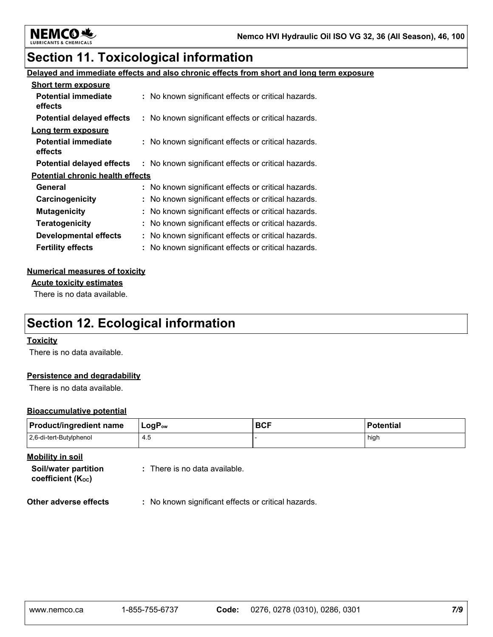

## **Section 11. Toxicological information**

#### **Delayed and immediate effects and also chronic effects from short and long term exposure**

| <b>Short term exposure</b>              |                                                     |
|-----------------------------------------|-----------------------------------------------------|
| <b>Potential immediate</b><br>effects   | : No known significant effects or critical hazards. |
| <b>Potential delayed effects</b>        | : No known significant effects or critical hazards. |
| Long term exposure                      |                                                     |
| <b>Potential immediate</b><br>effects   | : No known significant effects or critical hazards. |
| <b>Potential delayed effects</b>        | : No known significant effects or critical hazards. |
| <b>Potential chronic health effects</b> |                                                     |
| General                                 | : No known significant effects or critical hazards. |
| Carcinogenicity                         | : No known significant effects or critical hazards. |
| <b>Mutagenicity</b>                     | : No known significant effects or critical hazards. |
| <b>Teratogenicity</b>                   | : No known significant effects or critical hazards. |
| <b>Developmental effects</b>            | : No known significant effects or critical hazards. |
| <b>Fertility effects</b>                | : No known significant effects or critical hazards. |

#### **Numerical measures of toxicity**

**Acute toxicity estimates**

There is no data available.

## **Section 12. Ecological information**

#### **Toxicity**

There is no data available.

#### **Persistence and degradability**

There is no data available.

#### **Bioaccumulative potential**

| <b>Product/ingredient name</b> | $LogP_{ow}$ | <b>BCF</b> | <b>Potential</b> |
|--------------------------------|-------------|------------|------------------|
| 2,6-di-tert-Butylphenol        | 4.5         |            | high             |

**Mobility in soil**

**Soil/water partition coefficient (KOC)**

**:** There is no data available.

**Other adverse effects** : No known significant effects or critical hazards.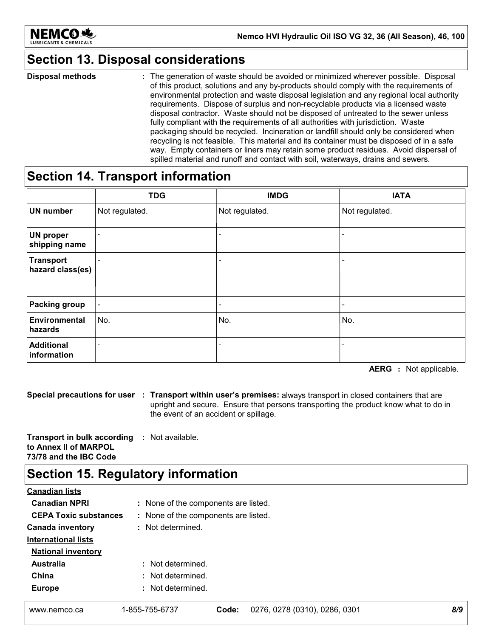

## **Section 13. Disposal considerations**

The generation of waste should be avoided or minimized wherever possible. Disposal of this product, solutions and any by-products should comply with the requirements of environmental protection and waste disposal legislation and any regional local authority requirements. Dispose of surplus and non-recyclable products via a licensed waste disposal contractor. Waste should not be disposed of untreated to the sewer unless fully compliant with the requirements of all authorities with jurisdiction. Waste packaging should be recycled. Incineration or landfill should only be considered when recycling is not feasible. This material and its container must be disposed of in a safe way. Empty containers or liners may retain some product residues. Avoid dispersal of spilled material and runoff and contact with soil, waterways, drains and sewers. **Disposal methods :**

### **Section 14. Transport information**

|                                      | <b>TDG</b>               | <b>IMDG</b>                  | <b>IATA</b>                  |
|--------------------------------------|--------------------------|------------------------------|------------------------------|
| <b>UN number</b>                     | Not regulated.           | Not regulated.               | Not regulated.               |
| <b>UN proper</b><br>shipping name    |                          | $\qquad \qquad \blacksquare$ |                              |
| <b>Transport</b><br>hazard class(es) | $\overline{\phantom{0}}$ | $\qquad \qquad \blacksquare$ |                              |
| <b>Packing group</b>                 | $\blacksquare$           | $\overline{\phantom{0}}$     | $\qquad \qquad \blacksquare$ |
| Environmental<br>hazards             | No.                      | No.                          | No.                          |
| <b>Additional</b><br>information     | $\overline{\phantom{a}}$ |                              |                              |

**AERG :** Not applicable.

**Special precautions for user Transport within user's premises:** always transport in closed containers that are **:** upright and secure. Ensure that persons transporting the product know what to do in the event of an accident or spillage.

**Transport in bulk according :** Not available. **to Annex II of MARPOL 73/78 and the IBC Code**

## **Section 15. Regulatory information**

| <b>Canadian lists</b>        |                                      |                                        |     |  |
|------------------------------|--------------------------------------|----------------------------------------|-----|--|
| <b>Canadian NPRI</b>         |                                      | : None of the components are listed.   |     |  |
| <b>CEPA Toxic substances</b> | : None of the components are listed. |                                        |     |  |
| <b>Canada inventory</b>      | : Not determined.                    |                                        |     |  |
| <b>International lists</b>   |                                      |                                        |     |  |
| <b>National inventory</b>    |                                      |                                        |     |  |
| <b>Australia</b>             | : Not determined.                    |                                        |     |  |
| China                        | : Not determined.                    |                                        |     |  |
| <b>Europe</b>                | : Not determined.                    |                                        |     |  |
| www.nemco.ca                 | 1-855-755-6737                       | 0276, 0278 (0310), 0286, 0301<br>Code: | 8/9 |  |